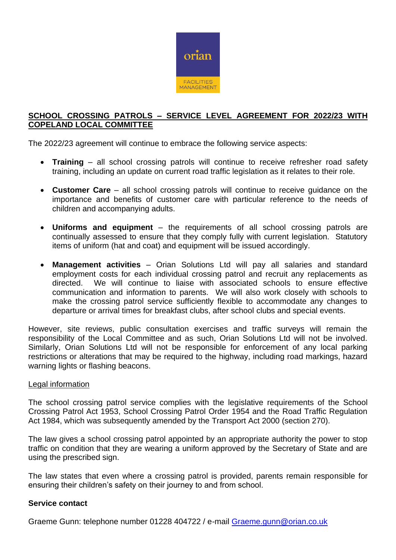

#### **SCHOOL CROSSING PATROLS – SERVICE LEVEL AGREEMENT FOR 2022/23 WITH COPELAND LOCAL COMMITTEE**

The 2022/23 agreement will continue to embrace the following service aspects:

- **Training** all school crossing patrols will continue to receive refresher road safety training, including an update on current road traffic legislation as it relates to their role.
- **Customer Care** all school crossing patrols will continue to receive guidance on the importance and benefits of customer care with particular reference to the needs of children and accompanying adults.
- **Uniforms and equipment** the requirements of all school crossing patrols are continually assessed to ensure that they comply fully with current legislation. Statutory items of uniform (hat and coat) and equipment will be issued accordingly.
- **Management activities** Orian Solutions Ltd will pay all salaries and standard employment costs for each individual crossing patrol and recruit any replacements as directed. We will continue to liaise with associated schools to ensure effective communication and information to parents. We will also work closely with schools to make the crossing patrol service sufficiently flexible to accommodate any changes to departure or arrival times for breakfast clubs, after school clubs and special events.

However, site reviews, public consultation exercises and traffic surveys will remain the responsibility of the Local Committee and as such, Orian Solutions Ltd will not be involved. Similarly, Orian Solutions Ltd will not be responsible for enforcement of any local parking restrictions or alterations that may be required to the highway, including road markings, hazard warning lights or flashing beacons.

#### Legal information

The school crossing patrol service complies with the legislative requirements of the School Crossing Patrol Act 1953, School Crossing Patrol Order 1954 and the Road Traffic Regulation Act 1984, which was subsequently amended by the Transport Act 2000 (section 270).

The law gives a school crossing patrol appointed by an appropriate authority the power to stop traffic on condition that they are wearing a uniform approved by the Secretary of State and are using the prescribed sign.

The law states that even where a crossing patrol is provided, parents remain responsible for ensuring their children's safety on their journey to and from school.

#### **Service contact**

Graeme Gunn: telephone number 01228 404722 / e-mail [Graeme.gunn@orian.co.uk](mailto:Graeme.gunn@orian.co.uk)